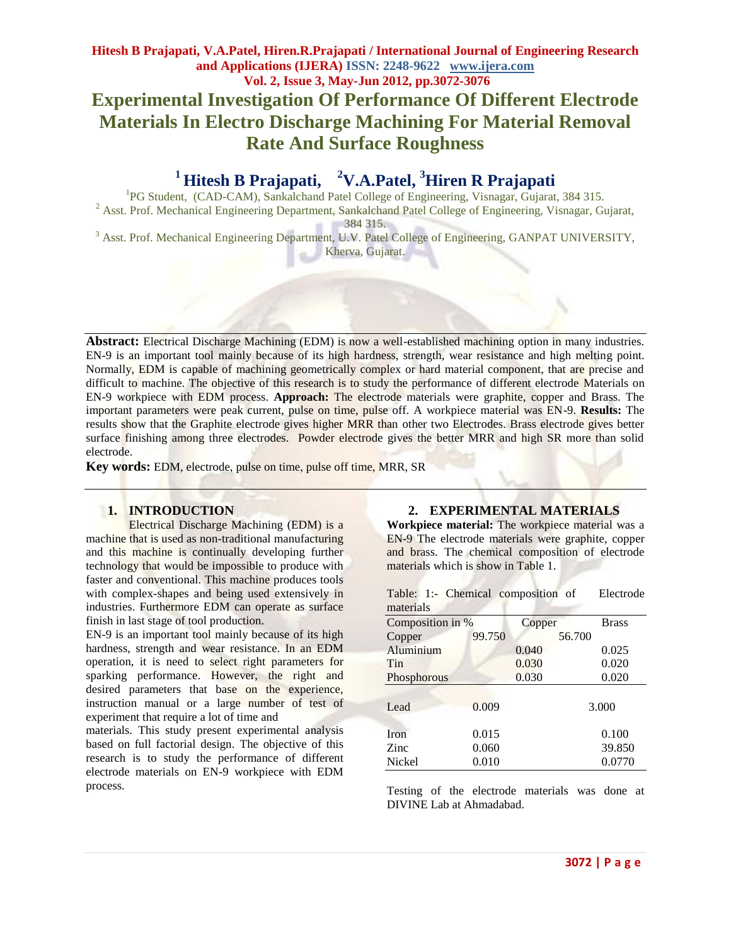# **Hitesh B Prajapati, V.A.Patel, Hiren.R.Prajapati / International Journal of Engineering Research and Applications (IJERA) ISSN: 2248-9622 www.ijera.com Vol. 2, Issue 3, May-Jun 2012, pp.3072-3076 Experimental Investigation Of Performance Of Different Electrode Materials In Electro Discharge Machining For Material Removal Rate And Surface Roughness**

#### <sup>1</sup>**Hitesh B Prajapati, <sup>3</sup>Hiren R Prajapati**

<sup>1</sup>PG Student, (CAD-CAM), Sankalchand Patel College of Engineering, Visnagar, Gujarat, 384 315. <sup>2</sup> Asst. Prof. Mechanical Engineering Department, Sankalchand Patel College of Engineering, Visnagar, Gujarat,

384 315.

<sup>3</sup> Asst. Prof. Mechanical Engineering Department, U.V. Patel College of Engineering, GANPAT UNIVERSITY, Kherva, Gujarat.

**Abstract:** Electrical Discharge Machining (EDM) is now a well-established machining option in many industries. EN-9 is an important tool mainly because of its high hardness, strength, wear resistance and high melting point. Normally, EDM is capable of machining geometrically complex or hard material component, that are precise and difficult to machine. The objective of this research is to study the performance of different electrode Materials on EN-9 workpiece with EDM process. **Approach:** The electrode materials were graphite, copper and Brass. The important parameters were peak current, pulse on time, pulse off. A workpiece material was EN-9. **Results:** The results show that the Graphite electrode gives higher MRR than other two Electrodes. Brass electrode gives better surface finishing among three electrodes. Powder electrode gives the better MRR and high SR more than solid electrode.

**Key words:** EDM, electrode, pulse on time, pulse off time, MRR, SR

## **1. INTRODUCTION**

Electrical Discharge Machining (EDM) is a machine that is used as non-traditional manufacturing and this machine is continually developing further technology that would be impossible to produce with faster and conventional. This machine produces tools with complex-shapes and being used extensively in industries. Furthermore EDM can operate as surface finish in last stage of tool production.

EN-9 is an important tool mainly because of its high hardness, strength and wear resistance. In an EDM operation, it is need to select right parameters for sparking performance. However, the right and desired parameters that base on the experience, instruction manual or a large number of test of experiment that require a lot of time and

materials. This study present experimental analysis based on full factorial design. The objective of this research is to study the performance of different electrode materials on EN-9 workpiece with EDM process.

## **2. EXPERIMENTAL MATERIALS**

**Workpiece material:** The workpiece material was a EN-9 The electrode materials were graphite, copper and brass. The chemical composition of electrode materials which is show in Table 1.

|           |  | Table: 1:- Chemical composition of | Electrode |
|-----------|--|------------------------------------|-----------|
| materials |  |                                    |           |

| Composition in % |        | Copper | <b>Brass</b> |
|------------------|--------|--------|--------------|
| Copper           | 99.750 |        | 56.700       |
| Aluminium        |        | 0.040  | 0.025        |
| Tin              |        | 0.030  | 0.020        |
| Phosphorous      |        | 0.030  | 0.020        |
|                  |        |        |              |
| Lead             | 0.009  |        | 3.000        |
|                  |        |        |              |
| <b>Iron</b>      | 0.015  |        | 0.100        |
| Zinc             | 0.060  |        | 39.850       |
| Nickel           | 0.010  |        | 0.0770       |

Testing of the electrode materials was done at DIVINE Lab at Ahmadabad.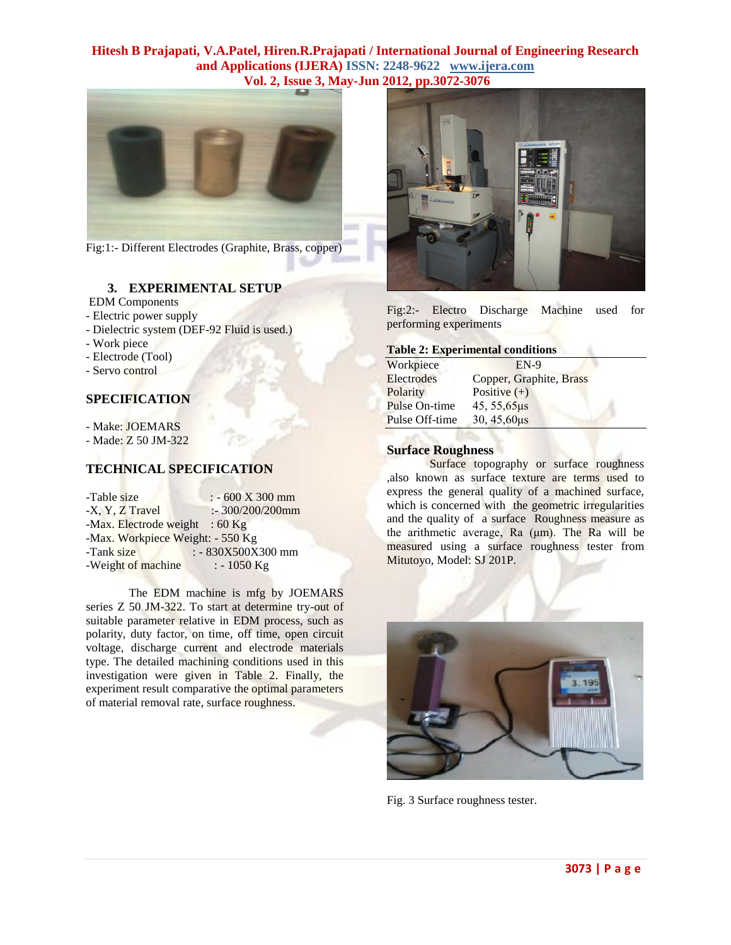

Fig:1:- Different Electrodes (Graphite, Brass, copper)

### **3. EXPERIMENTAL SETUP**

EDM Components

- Electric power supply
- Dielectric system (DEF-92 Fluid is used.)
- Work piece
- Electrode (Tool)
- Servo control

### **SPECIFICATION**

- Make: JOEMARS

- Made: Z 50 JM-322

#### **TECHNICAL SPECIFICATION A MONTH 10**

| -Table size                      | $: -600 X 300 mm$  |
|----------------------------------|--------------------|
| -X, Y, Z Travel                  | $: 300/200/200$ mm |
| -Max. Electrode weight : 60 Kg   |                    |
| -Max. Workpiece Weight: - 550 Kg |                    |
| -Tank size                       | : - 830X500X300 mm |
| -Weight of machine               | $: -1050$ Kg       |

The EDM machine is mfg by JOEMARS series Z 50 JM-322. To start at determine try-out of suitable parameter relative in EDM process, such as polarity, duty factor, on time, off time, open circuit voltage, discharge current and electrode materials type. The detailed machining conditions used in this investigation were given in Table 2. Finally, the experiment result comparative the optimal parameters of material removal rate, surface roughness.



Fig:2:- Electro Discharge Machine used for performing experiments

#### **Table 2: Experimental conditions**

| Workpiece      | $EN-9$                  |
|----------------|-------------------------|
| Electrodes     | Copper, Graphite, Brass |
| Polarity       | Positive $(+)$          |
| Pulse On-time  | 45, 55, 65 µs           |
| Pulse Off-time | $30, 45, 60 \mu s$      |
|                |                         |

### **Surface Roughness**

Surface topography or surface roughness ,also known as surface texture are terms used to express the general quality of a machined surface, which is concerned with the geometric irregularities and the quality of a surface Roughness measure as the arithmetic average, Ra (μm). The Ra will be measured using a surface roughness tester from Mitutoyo, Model: SJ 201P.



Fig. 3 Surface roughness tester.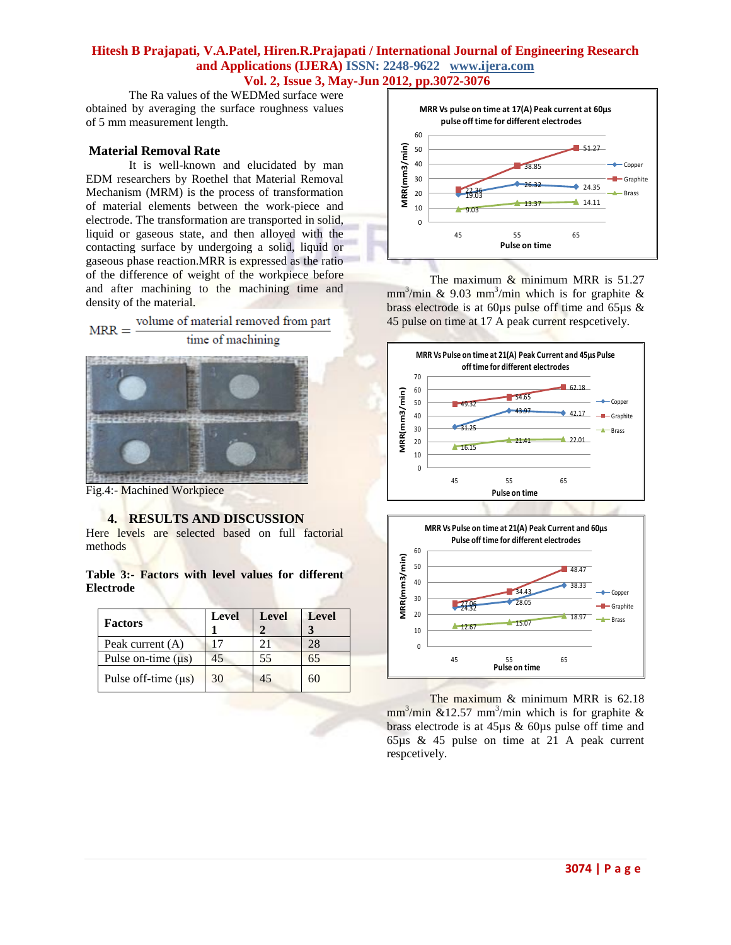The Ra values of the WEDMed surface were obtained by averaging the surface roughness values of 5 mm measurement length.

### **Material Removal Rate**

It is well-known and elucidated by man EDM researchers by Roethel that Material Removal Mechanism (MRM) is the process of transformation of material elements between the work-piece and electrode. The transformation are transported in solid, liquid or gaseous state, and then alloyed with the contacting surface by undergoing a solid, liquid or gaseous phase reaction.MRR is expressed as the ratio of the difference of weight of the workpiece before and after machining to the machining time and density of the material.



Fig.4:- Machined Workpiece

### **4. RESULTS AND DISCUSSION**

Here levels are selected based on full factorial methods

**Table 3:- Factors with level values for different Electrode**

| <b>Factors</b>           | <b>Level</b> | Level | <b>Level</b> |
|--------------------------|--------------|-------|--------------|
| Peak current $(A)$       |              |       | 28           |
| Pulse on-time $(\mu s)$  | 45           | 55    | 65           |
| Pulse off-time $(\mu s)$ | 30           | 45    | 60           |



The maximum  $&$  minimum MRR is 51.27 mm<sup>3</sup>/min & 9.03 mm<sup>3</sup>/min which is for graphite & brass electrode is at 60 $\mu$ s pulse off time and 65 $\mu$ s & 45 pulse on time at 17 A peak current respcetively.





The maximum & minimum MRR is 62.18  $mm<sup>3</sup>/min$  &12.57 mm<sup>3</sup>/min which is for graphite & brass electrode is at 45µs & 60µs pulse off time and 65µs & 45 pulse on time at 21 A peak current respcetively.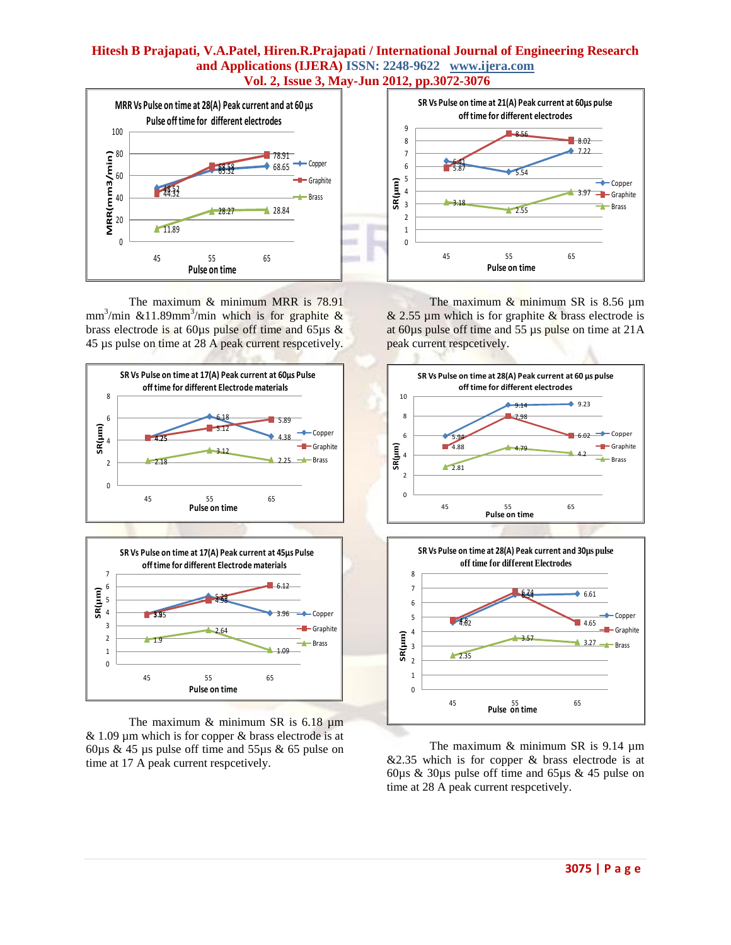

The maximum & minimum MRR is 78.91 mm<sup>3</sup>/min &11.89mm<sup>3</sup>/min which is for graphite & brass electrode is at 60µs pulse off time and 65µs & 45 µs pulse on time at 28 A peak current respcetively.





The maximum  $&$  minimum SR is 6.18  $$\mu$ m  $& 1.09 \mu m$  which is for copper  $&$  brass electrode is at 60 $\mu$ s & 45  $\mu$ s pulse off time and 55 $\mu$ s & 65 pulse on time at 17 A peak current respcetively.



The maximum  $&$  minimum SR is 8.56  $\mu$ m  $& 2.55 \mu m$  which is for graphite  $& b$  brass electrode is at 60µs pulse off time and 55 µs pulse on time at 21A peak current respcetively.





The maximum & minimum SR is 9.14  $\mu$ m  $&2.35$  which is for copper  $&8$  brass electrode is at 60µs & 30µs pulse off time and 65µs & 45 pulse on time at 28 A peak current respcetively.